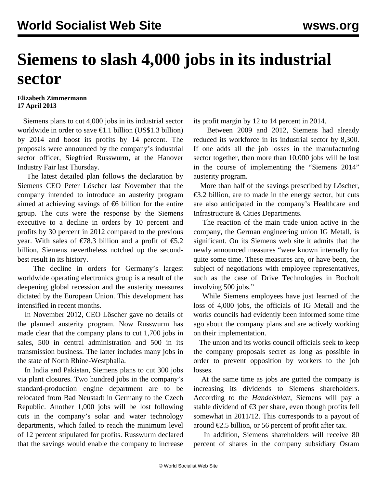## **Siemens to slash 4,000 jobs in its industrial sector**

## **Elizabeth Zimmermann 17 April 2013**

 Siemens plans to cut 4,000 jobs in its industrial sector worldwide in order to save €1.1 billion (US\$1.3 billion) by 2014 and boost its profits by 14 percent. The proposals were announced by the company's industrial sector officer, Siegfried Russwurm, at the Hanover Industry Fair last Thursday.

 The latest detailed plan follows the declaration by Siemens CEO Peter Löscher last November that the company intended to introduce an austerity program aimed at achieving savings of  $\epsilon$ 6 billion for the entire group. The cuts were the response by the Siemens executive to a decline in orders by 10 percent and profits by 30 percent in 2012 compared to the previous year. With sales of €78.3 billion and a profit of €5.2 billion, Siemens nevertheless notched up the secondbest result in its history.

 The decline in orders for Germany's largest worldwide operating electronics group is a result of the deepening global recession and the austerity measures dictated by the European Union. This development has intensified in recent months.

 In November 2012, CEO Löscher gave no details of the planned austerity program. Now Russwurm has made clear that the company plans to cut 1,700 jobs in sales, 500 in central administration and 500 in its transmission business. The latter includes many jobs in the state of North Rhine-Westphalia.

 In India and Pakistan, Siemens plans to cut 300 jobs via plant closures. Two hundred jobs in the company's standard-production engine department are to be relocated from Bad Neustadt in Germany to the Czech Republic. Another 1,000 jobs will be lost following cuts in the company's solar and water technology departments, which failed to reach the minimum level of 12 percent stipulated for profits. Russwurm declared that the savings would enable the company to increase its profit margin by 12 to 14 percent in 2014.

 Between 2009 and 2012, Siemens had already reduced its workforce in its industrial sector by 8,300. If one adds all the job losses in the manufacturing sector together, then more than 10,000 jobs will be lost in the course of implementing the "Siemens 2014" austerity program.

 More than half of the savings prescribed by Löscher, €3.2 billion, are to made in the energy sector, but cuts are also anticipated in the company's Healthcare and Infrastructure & Cities Departments.

 The reaction of the main trade union active in the company, the German engineering union IG Metall, is significant. On its Siemens web site it admits that the newly announced measures "were known internally for quite some time. These measures are, or have been, the subject of negotiations with employee representatives, such as the case of Drive Technologies in Bocholt involving 500 jobs."

 While Siemens employees have just learned of the loss of 4,000 jobs, the officials of IG Metall and the works councils had evidently been informed some time ago about the company plans and are actively working on their implementation.

 The union and its works council officials seek to keep the company proposals secret as long as possible in order to prevent opposition by workers to the job losses.

 At the same time as jobs are gutted the company is increasing its dividends to Siemens shareholders. According to the *Handelsblatt*, Siemens will pay a stable dividend of €3 per share, even though profits fell somewhat in 2011/12. This corresponds to a payout of around  $\epsilon$ 2.5 billion, or 56 percent of profit after tax.

 In addition, Siemens shareholders will receive 80 percent of shares in the company subsidiary Osram